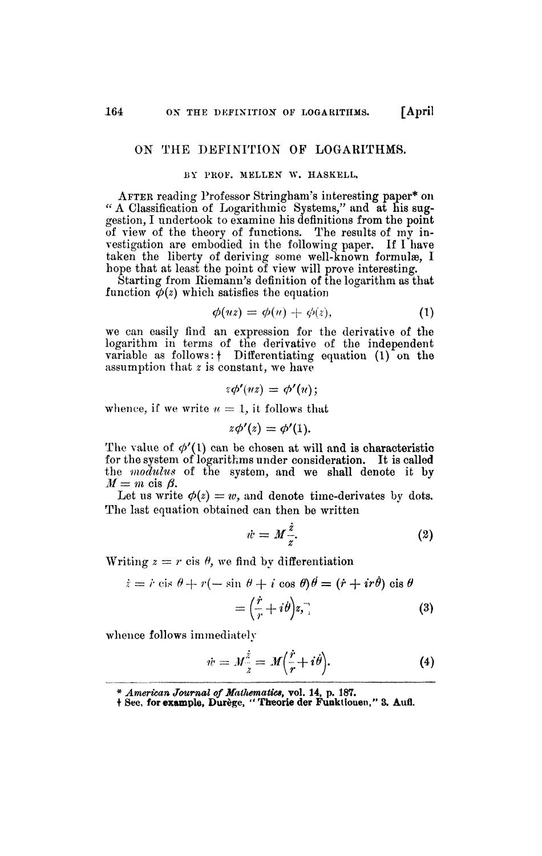## OK THE DEFINITION OP LOGARITHMS.

## BY PROF. MELLEN W. HASKELL,

AFTER reading Professor Stringham's interesting paper\* on " A Classification of Logarithmic Systems/' and at his suggestion, I undertook to examine his definitions from the point of view of the theory of functions. The results of my investigation are embodied in the following paper. If I have taken the liberty of deriving some well-known formulæ, I hope that at least the point of view will prove interesting.

Starting from Biemann's definition of the logarithm as that function  $\phi(z)$  which satisfies the equation

$$
\phi(uz) = \phi(u) + \phi(z), \tag{1}
$$

we can easily find an expression for the derivative of the logarithm in terms of the derivative of the independent variable as follows:  $\dagger$  Differentiating equation  $(1)$  on the assumption that *z* is constant, we have

$$
z\phi'(uz)=\phi'(u);
$$

whence, if we write  $u=1$ , it follows that

$$
z\phi'(z)=\phi'(1).
$$

The value of  $\phi'(1)$  can be chosen at will and is characteristic for the system of logarithms under consideration. It is called the *modulus* of the system, and we shall denote it by  $M = m$  cis  $\beta$ .

Let us write  $\phi(z) = w$ , and denote time-derivates by dots. The last equation obtained can then be written

$$
\dot{w} = M \frac{\dot{z}}{z}.
$$
 (2)

Writing  $z = r$  cis  $\theta$ , we find by differentiation

$$
\begin{aligned} \dot{z} &= \dot{r} \, \text{cis} \, \theta + r(-\, \text{sin} \, \theta + i \, \text{cos} \, \theta) \theta = (\dot{r} + ir\theta) \, \text{cis} \, \theta \\ &= \left(\frac{\dot{r}}{r} + i\theta\right) z, \end{aligned} \tag{3}
$$

whence follows immediately

$$
\dot{w} = M_{\frac{z}{z}}^{\frac{z}{z}} = M\left(\frac{\dot{r}}{r} + i\dot{\theta}\right). \tag{4}
$$

<sup>\*</sup> *American Journal of Matfiematice,* vol. 14, p. 187.

t See, for example, Durège, " Theorie der Funktiouen," 3. Aufl.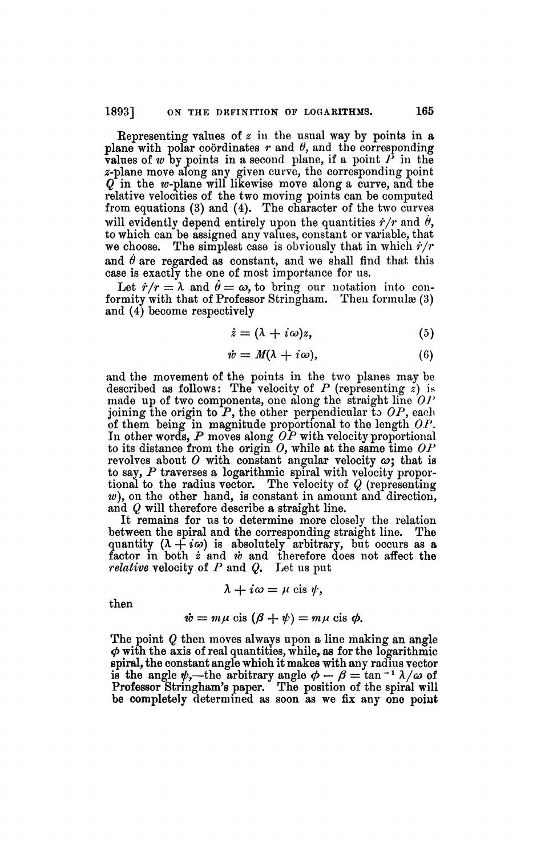Representing values of *z* in the usual way by points in a plane with polar coordinates *r* and *0,* and the corresponding values of *w* by points in a second plane, if a point *P* in the 2-plane move along any given curve, the corresponding point  $Q$  in the w-plane will likewise move along a curve, and the relative velocities of the two moving points can be computed from equations (3) and (4). The character of the two curves will evidently depend entirely upon the quantities  $\dot{r}/r$  and  $\dot{\theta}$ , to which can be assigned any values, constant or variable, that we choose. The simplest case is obviously that in which  $\dot{r}/r$ and  $\dot{\theta}$  are regarded as constant, and we shall find that this case is exactly the one of most importance for us.

Let  $\dot{r}/r = \lambda$  and  $\dot{\theta} = \omega$ , to bring our notation into conformity with that of Professor Stringham. Then formulæ (3) and (4) become respectively

$$
\dot{z} = (\lambda + i\omega)z,\tag{5}
$$

$$
\dot{w} = M(\lambda + i\omega),\tag{6}
$$

and the movement of the points in the two planes may be described as follows: The velocity of  $P$  (representing  $\dot{z}$ ) is made up of two components, one along the straight line *OP*  joining the origin to  $P$ , the other perpendicular to  $OP$ , each of them being in magnitude proportional to the length *OP.*  In other words, *P* moves along *OP* with velocity proportional to its distance from the origin  $O$ , while at the same time  $OP$ revolves about  $O$  with constant angular velocity  $\omega$ ; that is to say, *P* traverses a logarithmic spiral with velocity proportional to the radius vector. The velocity of *Q* (representing *w),* on the other hand, is constant in amount and direction, and *Q* will therefore describe a straight line.

It remains for us to determine more closely the relation between the spiral and the corresponding straight line. The quantity  $(\lambda + i\omega)$  is absolutely arbitrary, but occurs as a factor in both *i* and *w* and therefore does not affect the *relative* velocity of *P* and *Q.* Let us put

$$
\lambda + i\omega = \mu \text{ cis } \psi,
$$

then

$$
\dot{w}=m\mu\ \mathrm{cis}\ (\beta+\psi)=m\mu\ \mathrm{cis}\ \phi.
$$

The point *Q* then moves always upon a line making an angle  $\phi$  with the axis of real quantities, while, as for the logarithmic spiral, the constant angle which it makes with any radius vector is the angle  $\psi$ ,—the arbitrary angle  $\phi - \beta = \tan^{-1} \lambda/\omega$  of Professor Stringham's paper. The position of the spiral will be completely determined as soon as we fix any one point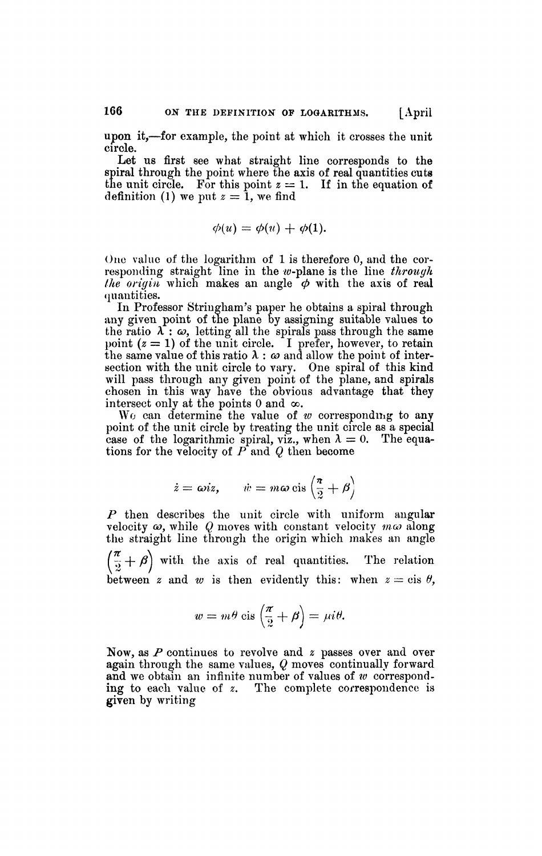Let us first see what straight line corresponds to the spiral through the point where the axis of real quantities cuts the unit circle. For this point  $z = 1$ . If in the equation of definition (1) we put  $z = 1$ , we find

$$
\phi(u)=\phi(u)+\phi(1).
$$

One value of the logarithm of 1 is therefore 0, and the corresponding straight line in the w-plane is the line *through the origin* which makes an angle  $\phi$  with the axis of real quantities.

In Professor Stringham's paper he obtains a spiral through any given point of the plane by assigning suitable values to the ratio  $\lambda$  :  $\omega$ , letting all the spirals pass through the same point  $(z = 1)$  of the unit circle. I prefer, however, to retain the same value of this ratio  $\lambda$ :  $\omega$  and allow the point of intersection with the unit circle to vary. One spiral of this kind will pass through any given point of the plane, and spirals chosen in this way have the obvious advantage that they intersect only at the points 0 and  $\infty$ .

Wo can determine the value of *w* corresponding to any point of the unit circle by treating the unit circle as a special case of the logarithmic spiral, viz., when  $\lambda = 0$ . The equations for the velocity of *P* and *Q* then become

$$
\dot{z} = \omega i z
$$
,  $\dot{w} = m \omega \operatorname{cis} \left( \frac{\pi}{2} + \beta \right)$ 

*P* then describes the unit circle with uniform angular velocity *GO,* while *Q* moves with constant velocity *moo* along the straight line through the origin which makes an angle  $\left(\frac{a}{2} + \beta\right)$  with the axis of real quantities. The relation between *z* and *w* is then evidently this: when  $z = \text{cis } \theta$ ,

$$
w = m\theta \operatorname{cis}\left(\frac{\pi}{2} + \beta\right) = \mu i\theta.
$$

Now, as *P* continues to revolve and *z* passes over and over again through the same values, *Q* moves continually forward and we obtain an infinite number of values of *w* corresponding to each value of *z.* The complete correspondence is given by writing

circle.